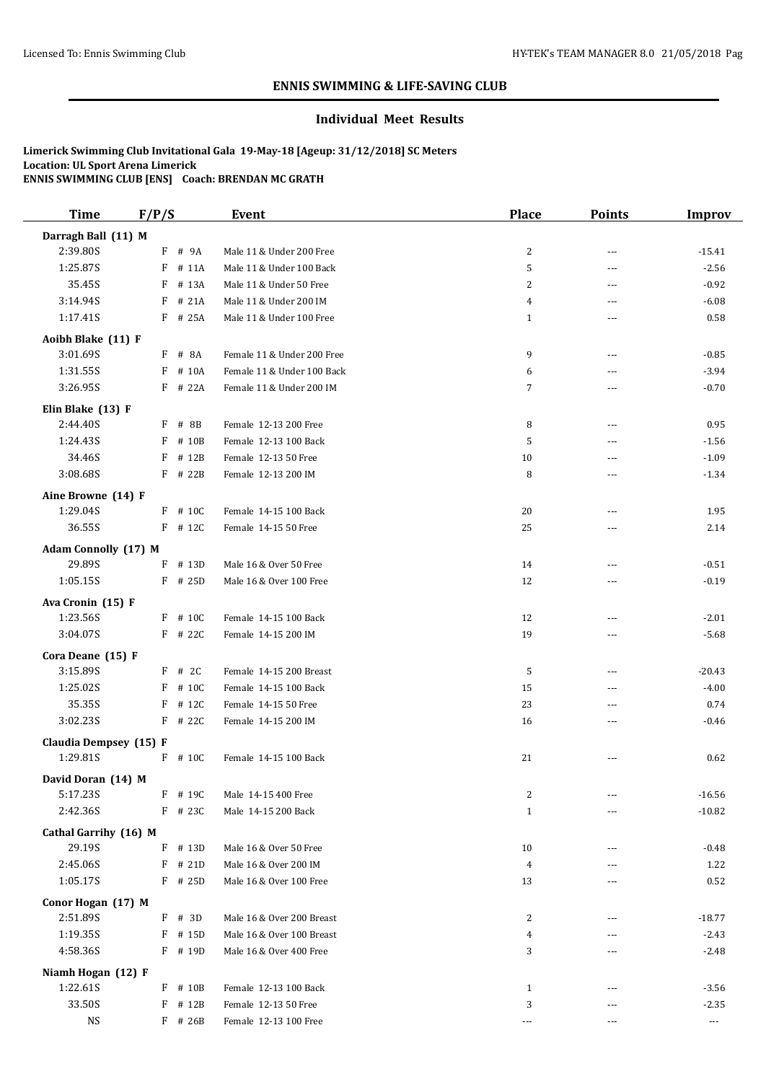# **ENNIS SWIMMING & LIFE-SAVING CLUB**

# **Individual Meet Results**

# **Limerick Swimming Club Invitational Gala 19-May-18 [Ageup: 31/12/2018] SC Meters Location: UL Sport Arena Limerick ENNIS SWIMMING CLUB [ENS] Coach: BRENDAN MC GRATH**

| <b>Time</b>                        | F/P/S     | <b>Event</b>               | <b>Place</b>   | <b>Points</b>            | <b>Improv</b>        |
|------------------------------------|-----------|----------------------------|----------------|--------------------------|----------------------|
| Darragh Ball (11) M                |           |                            |                |                          |                      |
| 2:39.80S                           | F # 9A    | Male 11 & Under 200 Free   | $\overline{c}$ | $\overline{a}$           | $-15.41$             |
| 1:25.87S                           | $F$ # 11A | Male 11 & Under 100 Back   | 5              | ---                      | $-2.56$              |
| 35.45S                             | F # 13A   | Male 11 & Under 50 Free    | 2              | $---$                    | $-0.92$              |
| 3:14.94S                           | $F$ # 21A | Male 11 & Under 200 IM     | 4              | ---                      | $-6.08$              |
| 1:17.41S                           | F # 25A   | Male 11 & Under 100 Free   | $\mathbf{1}$   | ---                      | 0.58                 |
| Aoibh Blake (11) F                 |           |                            |                |                          |                      |
| 3:01.69S                           | F # 8A    | Female 11 & Under 200 Free | 9              | $\overline{\phantom{a}}$ | $-0.85$              |
| 1:31.55S                           | F # 10A   | Female 11 & Under 100 Back | 6              | ---                      | $-3.94$              |
| 3:26.95S                           | F # 22A   | Female 11 & Under 200 IM   | 7              | ---                      | $-0.70$              |
|                                    |           |                            |                |                          |                      |
| Elin Blake (13) F<br>2:44.40S      | $F$ # 8B  | Female 12-13 200 Free      | 8              | ---                      | 0.95                 |
| 1:24.43S                           | F # 10B   | Female 12-13 100 Back      | 5              | $\overline{a}$           | $-1.56$              |
| 34.46S                             | $F$ # 12B | Female 12-13 50 Free       | 10             | ---                      | $-1.09$              |
| 3:08.68S                           | F # 22B   | Female 12-13 200 IM        | 8              | ---                      | $-1.34$              |
|                                    |           |                            |                |                          |                      |
| Aine Browne (14) F                 |           |                            |                |                          |                      |
| 1:29.04S                           | $F$ # 10C | Female 14-15 100 Back      | 20             | ---                      | 1.95                 |
| 36.55S                             | $F$ # 12C | Female 14-15 50 Free       | 25             | ---                      | 2.14                 |
| Adam Connolly (17) M               |           |                            |                |                          |                      |
| 29.89S                             | F # 13D   | Male 16 & Over 50 Free     | 14             | ---                      | $-0.51$              |
| 1:05.15S                           | $F$ # 25D | Male 16 & Over 100 Free    | 12             | ---                      | $-0.19$              |
| Ava Cronin (15) F                  |           |                            |                |                          |                      |
| 1:23.56S                           | F # 10C   | Female 14-15 100 Back      | 12             | ---                      | $-2.01$              |
| 3:04.07S                           | $F$ # 22C | Female 14-15 200 IM        | 19             | $---$                    | $-5.68$              |
| Cora Deane (15) F                  |           |                            |                |                          |                      |
| 3:15.89S                           | $F$ # 2C  | Female 14-15 200 Breast    | 5              | $\overline{\phantom{a}}$ | $-20.43$             |
| 1:25.02S                           | F # 10C   | Female 14-15 100 Back      | 15             | $\overline{a}$           | $-4.00$              |
| 35.35S                             | $F$ # 12C | Female 14-15 50 Free       | 23             | ---                      | 0.74                 |
| 3:02.235                           | $F$ # 22C | Female 14-15 200 IM        | 16             | ---                      | $-0.46$              |
|                                    |           |                            |                |                          |                      |
| Claudia Dempsey (15) F<br>1:29.81S | F # 10C   |                            | 21             |                          |                      |
|                                    |           | Female 14-15 100 Back      |                |                          | 0.62                 |
| David Doran (14) M                 |           |                            |                |                          |                      |
| 5:17.23S                           | $F$ # 190 | Male 14-15 400 Free        | 2              | $---$                    | $-16.56$             |
| 2:42.36S                           | $F$ # 23C | Male 14-15 200 Back        | $\mathbf{1}$   | ---                      | $-10.82$             |
| Cathal Garrihy (16) M              |           |                            |                |                          |                      |
| 29.19S                             | $F$ # 13D | Male 16 & Over 50 Free     | 10             | ---                      | $-0.48$              |
| 2:45.06S                           | $F$ # 21D | Male 16 & Over 200 IM      | $\overline{4}$ |                          | 1.22                 |
| 1:05.17S                           | $F$ # 25D | Male 16 & Over 100 Free    | 13             | ---                      | 0.52                 |
| Conor Hogan (17) M                 |           |                            |                |                          |                      |
| 2:51.89S                           | $F$ # 3D  | Male 16 & Over 200 Breast  | 2              | ---                      | $-18.77$             |
| 1:19.35S                           | $F$ # 15D | Male 16 & Over 100 Breast  | 4              | ---                      | $-2.43$              |
| 4:58.36S                           | $F$ # 19D | Male 16 & Over 400 Free    | 3              | ---                      | $-2.48$              |
| Niamh Hogan (12) F                 |           |                            |                |                          |                      |
| 1:22.61S                           | $F$ # 10B | Female 12-13 100 Back      | $\mathbf{1}$   | ---                      | $-3.56$              |
| 33.50S                             | F # 12B   | Female 12-13 50 Free       | 3              | ---                      | $-2.35$              |
| <b>NS</b>                          | $F$ # 26B | Female 12-13 100 Free      | ---            | ---                      | $\scriptstyle\cdots$ |
|                                    |           |                            |                |                          |                      |